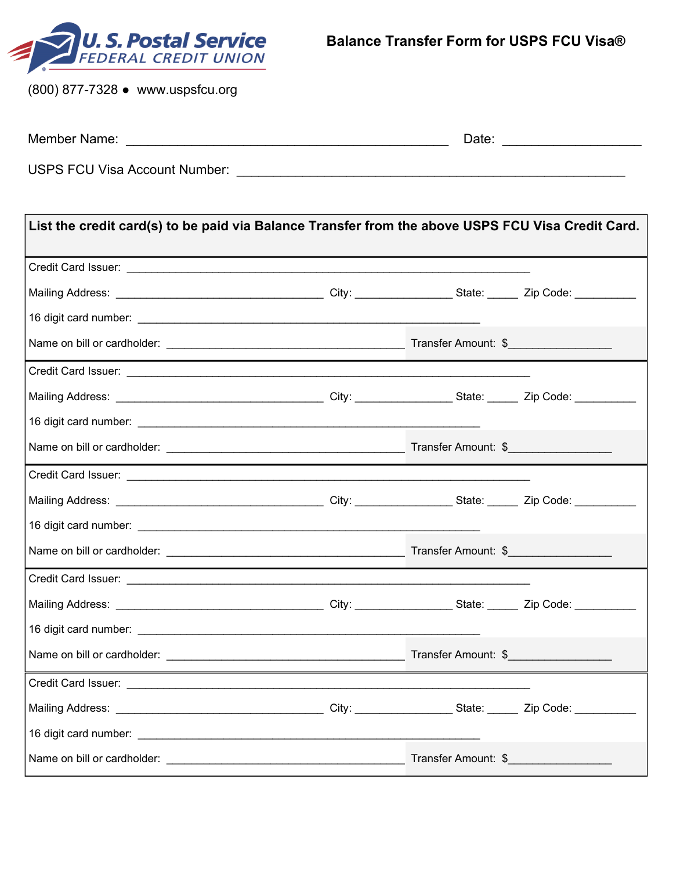

(800) 877-7328 ● www.uspsfcu.org

| Member Name: | Date |  |
|--------------|------|--|
|              |      |  |

USPS FCU Visa Account Number: \_\_\_\_\_\_\_\_\_\_\_\_\_\_\_\_\_\_\_\_\_\_\_\_\_\_\_\_\_\_\_\_\_\_\_\_\_\_\_\_\_\_\_\_\_\_\_\_\_\_\_\_\_

| List the credit card(s) to be paid via Balance Transfer from the above USPS FCU Visa Credit Card. |  |  |
|---------------------------------------------------------------------------------------------------|--|--|
|                                                                                                   |  |  |
|                                                                                                   |  |  |
|                                                                                                   |  |  |
|                                                                                                   |  |  |
|                                                                                                   |  |  |
|                                                                                                   |  |  |
|                                                                                                   |  |  |
|                                                                                                   |  |  |
|                                                                                                   |  |  |
|                                                                                                   |  |  |
|                                                                                                   |  |  |
|                                                                                                   |  |  |
|                                                                                                   |  |  |
|                                                                                                   |  |  |
|                                                                                                   |  |  |
|                                                                                                   |  |  |
|                                                                                                   |  |  |
|                                                                                                   |  |  |
|                                                                                                   |  |  |
|                                                                                                   |  |  |